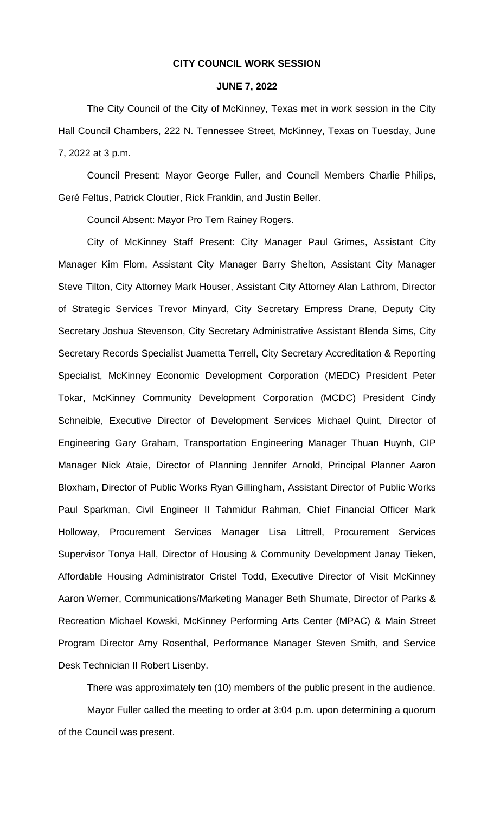#### **CITY COUNCIL WORK SESSION**

### **JUNE 7, 2022**

The City Council of the City of McKinney, Texas met in work session in the City Hall Council Chambers, 222 N. Tennessee Street, McKinney, Texas on Tuesday, June 7, 2022 at 3 p.m.

Council Present: Mayor George Fuller, and Council Members Charlie Philips, Geré Feltus, Patrick Cloutier, Rick Franklin, and Justin Beller.

Council Absent: Mayor Pro Tem Rainey Rogers.

City of McKinney Staff Present: City Manager Paul Grimes, Assistant City Manager Kim Flom, Assistant City Manager Barry Shelton, Assistant City Manager Steve Tilton, City Attorney Mark Houser, Assistant City Attorney Alan Lathrom, Director of Strategic Services Trevor Minyard, City Secretary Empress Drane, Deputy City Secretary Joshua Stevenson, City Secretary Administrative Assistant Blenda Sims, City Secretary Records Specialist Juametta Terrell, City Secretary Accreditation & Reporting Specialist, McKinney Economic Development Corporation (MEDC) President Peter Tokar, McKinney Community Development Corporation (MCDC) President Cindy Schneible, Executive Director of Development Services Michael Quint, Director of Engineering Gary Graham, Transportation Engineering Manager Thuan Huynh, CIP Manager Nick Ataie, Director of Planning Jennifer Arnold, Principal Planner Aaron Bloxham, Director of Public Works Ryan Gillingham, Assistant Director of Public Works Paul Sparkman, Civil Engineer II Tahmidur Rahman, Chief Financial Officer Mark Holloway, Procurement Services Manager Lisa Littrell, Procurement Services Supervisor Tonya Hall, Director of Housing & Community Development Janay Tieken, Affordable Housing Administrator Cristel Todd, Executive Director of Visit McKinney Aaron Werner, Communications/Marketing Manager Beth Shumate, Director of Parks & Recreation Michael Kowski, McKinney Performing Arts Center (MPAC) & Main Street Program Director Amy Rosenthal, Performance Manager Steven Smith, and Service Desk Technician II Robert Lisenby.

There was approximately ten (10) members of the public present in the audience. Mayor Fuller called the meeting to order at 3:04 p.m. upon determining a quorum of the Council was present.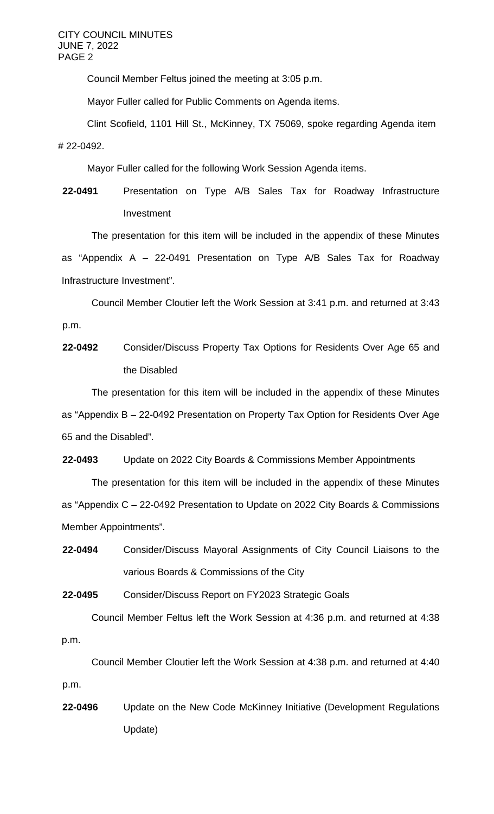Council Member Feltus joined the meeting at 3:05 p.m.

Mayor Fuller called for Public Comments on Agenda items.

Clint Scofield, 1101 Hill St., McKinney, TX 75069, spoke regarding Agenda item # 22-0492.

Mayor Fuller called for the following Work Session Agenda items.

**22-0491** Presentation on Type A/B Sales Tax for Roadway Infrastructure Investment

The presentation for this item will be included in the appendix of these Minutes as "Appendix A – 22-0491 Presentation on Type A/B Sales Tax for Roadway Infrastructure Investment".

Council Member Cloutier left the Work Session at 3:41 p.m. and returned at 3:43 p.m.

**22-0492** Consider/Discuss Property Tax Options for Residents Over Age 65 and the Disabled

The presentation for this item will be included in the appendix of these Minutes as "Appendix B – 22-0492 Presentation on Property Tax Option for Residents Over Age 65 and the Disabled".

**22-0493** Update on 2022 City Boards & Commissions Member Appointments

The presentation for this item will be included in the appendix of these Minutes as "Appendix C – 22-0492 Presentation to Update on 2022 City Boards & Commissions Member Appointments".

**22-0494** Consider/Discuss Mayoral Assignments of City Council Liaisons to the various Boards & Commissions of the City

**22-0495** Consider/Discuss Report on FY2023 Strategic Goals

Council Member Feltus left the Work Session at 4:36 p.m. and returned at 4:38 p.m.

Council Member Cloutier left the Work Session at 4:38 p.m. and returned at 4:40 p.m.

**22-0496** Update on the New Code McKinney Initiative (Development Regulations Update)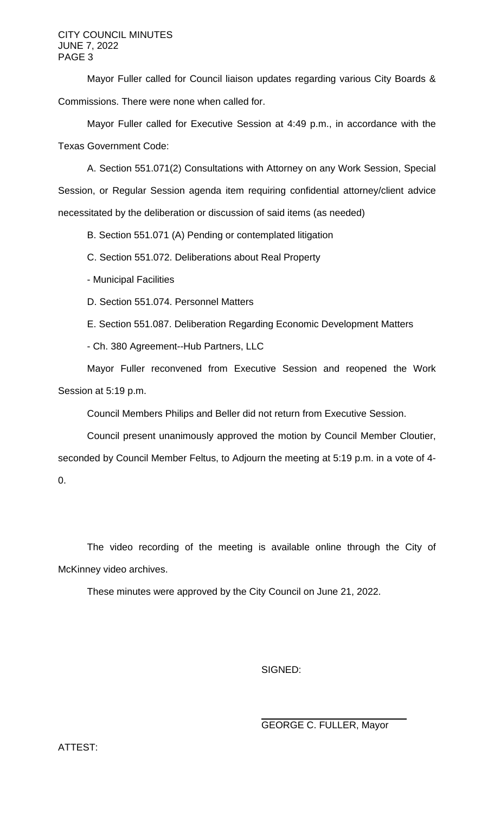Mayor Fuller called for Council liaison updates regarding various City Boards & Commissions. There were none when called for.

Mayor Fuller called for Executive Session at 4:49 p.m., in accordance with the Texas Government Code:

A. Section 551.071(2) Consultations with Attorney on any Work Session, Special Session, or Regular Session agenda item requiring confidential attorney/client advice necessitated by the deliberation or discussion of said items (as needed)

B. Section 551.071 (A) Pending or contemplated litigation

C. Section 551.072. Deliberations about Real Property

- Municipal Facilities

D. Section 551.074. Personnel Matters

E. Section 551.087. Deliberation Regarding Economic Development Matters

- Ch. 380 Agreement--Hub Partners, LLC

Mayor Fuller reconvened from Executive Session and reopened the Work Session at 5:19 p.m.

Council Members Philips and Beller did not return from Executive Session.

Council present unanimously approved the motion by Council Member Cloutier, seconded by Council Member Feltus, to Adjourn the meeting at 5:19 p.m. in a vote of 4- 0.

The video recording of the meeting is available online through the City of McKinney video archives.

These minutes were approved by the City Council on June 21, 2022.

SIGNED:

GEORGE C. FULLER, Mayor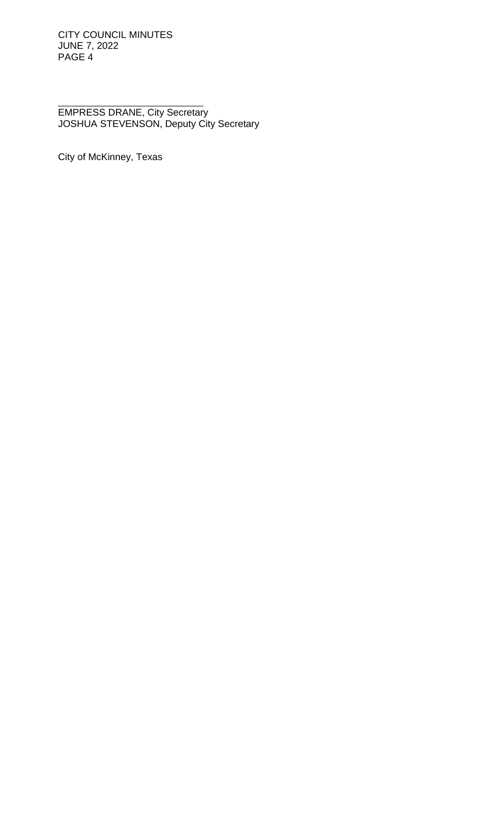EMPRESS DRANE, City Secretary JOSHUA STEVENSON, Deputy City Secretary

City of McKinney, Texas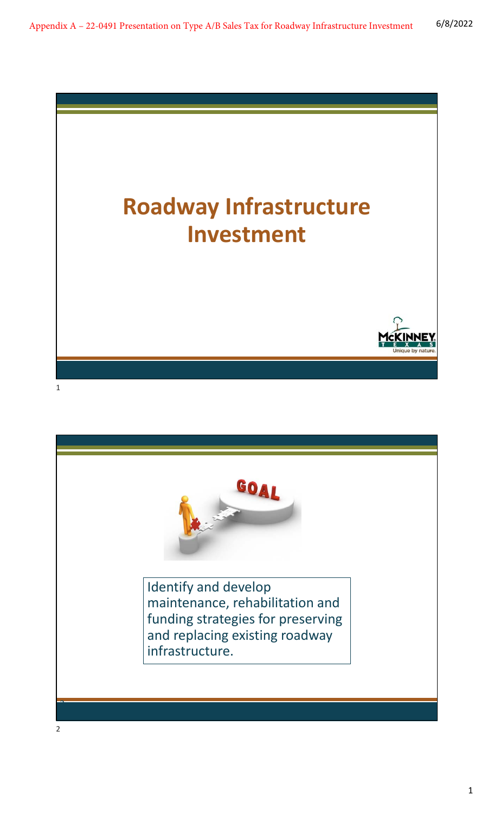

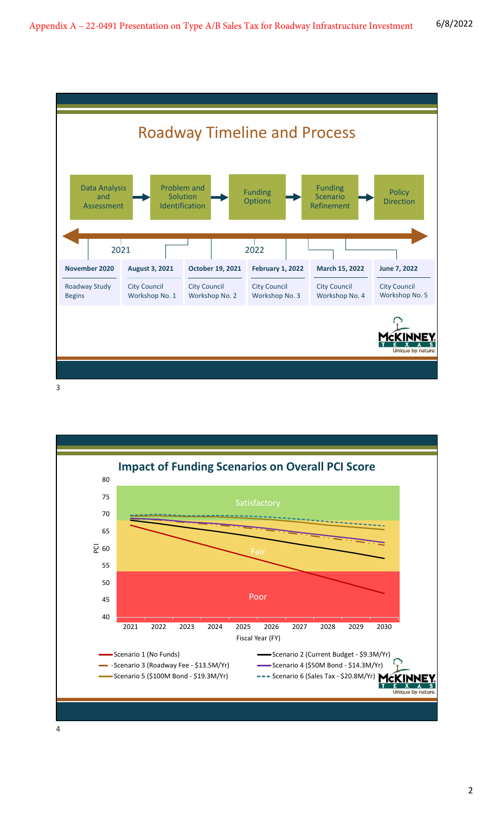

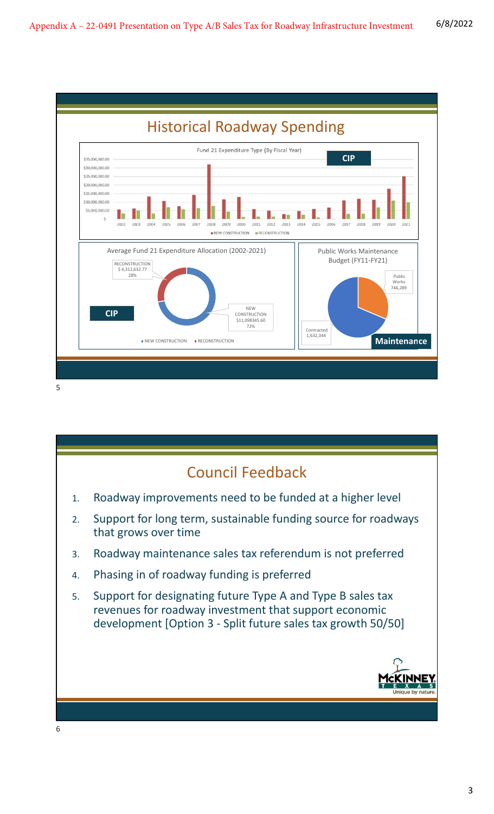

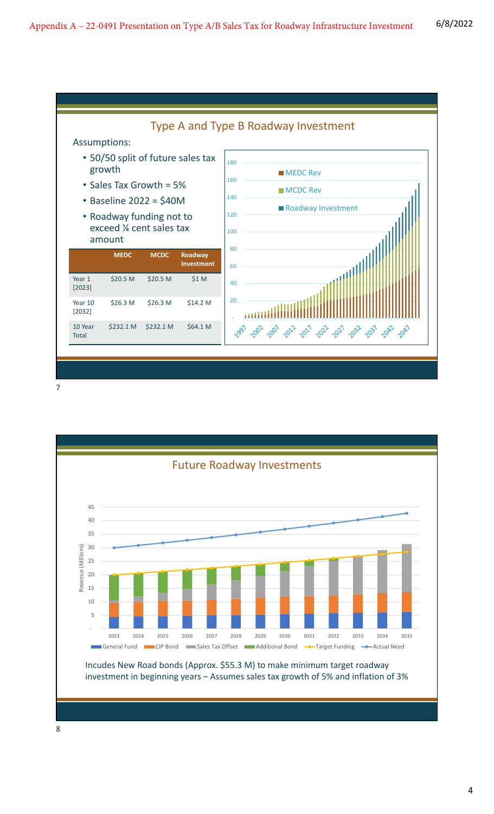

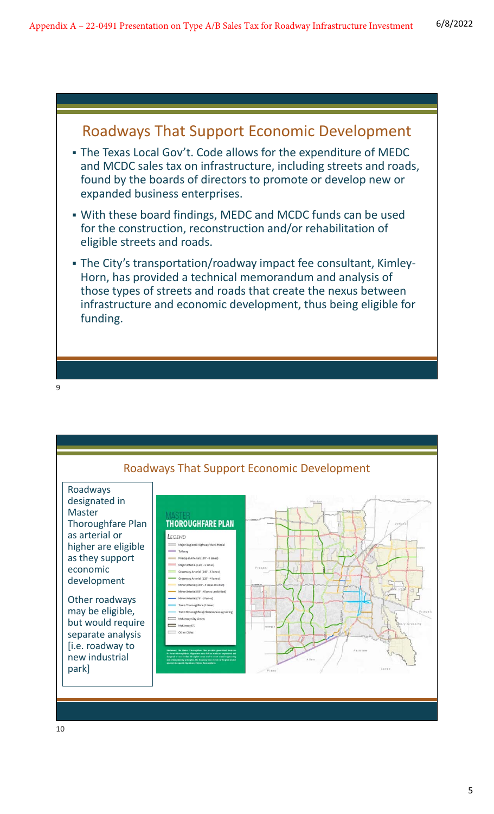### Roadways That Support Economic Development The Texas Local Gov't. Code allows for the expenditure of MEDC and MCDC sales tax on infrastructure, including streets and roads, found by the boards of directors to promote or develop new or expanded business enterprises. With these board findings, MEDC and MCDC funds can be used for the construction, reconstruction and/or rehabilitation of eligible streets and roads. The City's transportation/roadway impact fee consultant, Kimley‐ Horn, has provided a technical memorandum and analysis of those types of streets and roads that create the nexus between infrastructure and economic development, thus being eligible for funding.

9

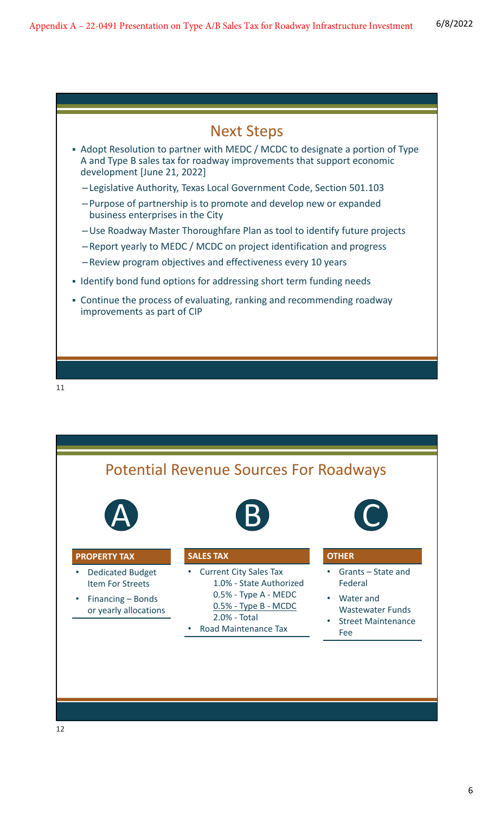



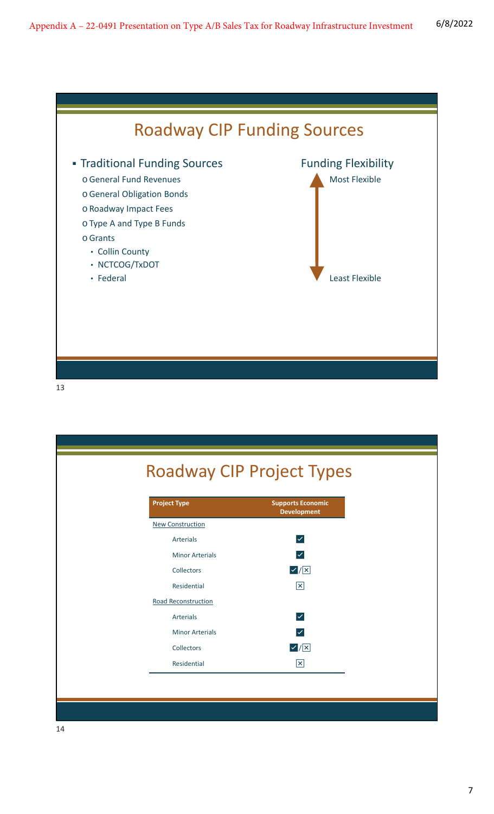

| <b>Project Type</b>     | <b>Supports Economic</b><br><b>Development</b> |
|-------------------------|------------------------------------------------|
| <b>New Construction</b> |                                                |
| <b>Arterials</b>        | $\blacktriangledown$                           |
| <b>Minor Arterials</b>  | $ \mathcal{S} $                                |
| Collectors              | v / x                                          |
| Residential             | $\boxed{\mathsf{x}}$                           |
| Road Reconstruction     |                                                |
| <b>Arterials</b>        | $\blacktriangledown$                           |
| <b>Minor Arterials</b>  | $ \mathcal{S} $                                |
| Collectors              | $\sqrt{\mathsf{X}}$                            |
| Residential             | $\boxed{\mathsf{x}}$                           |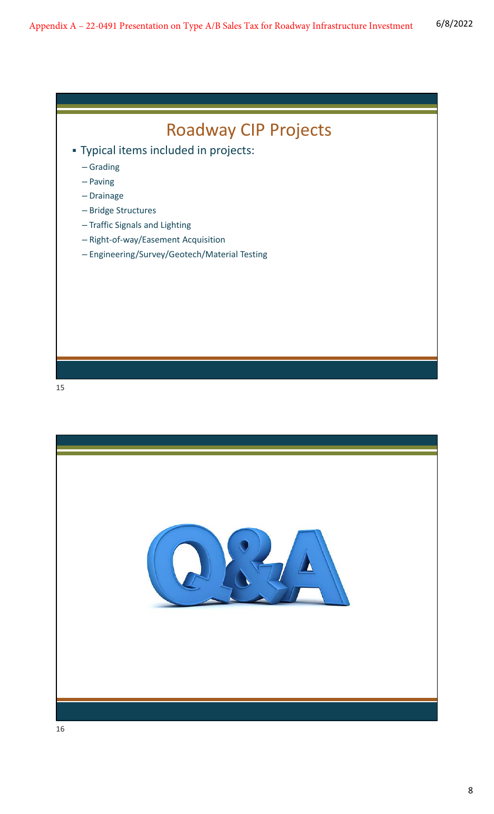

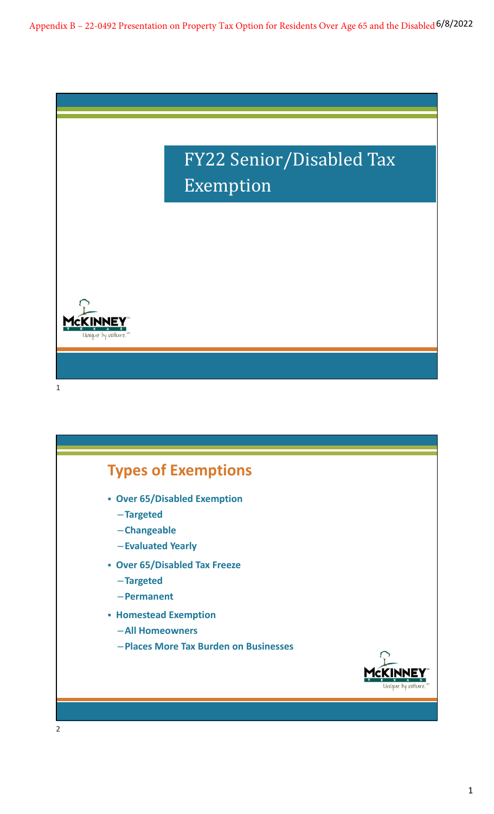Appendix B – 22-0492 Presentation on Property Tax Option for Residents Over Age 65 and the Disabled <sup>6/8/2022</sup>



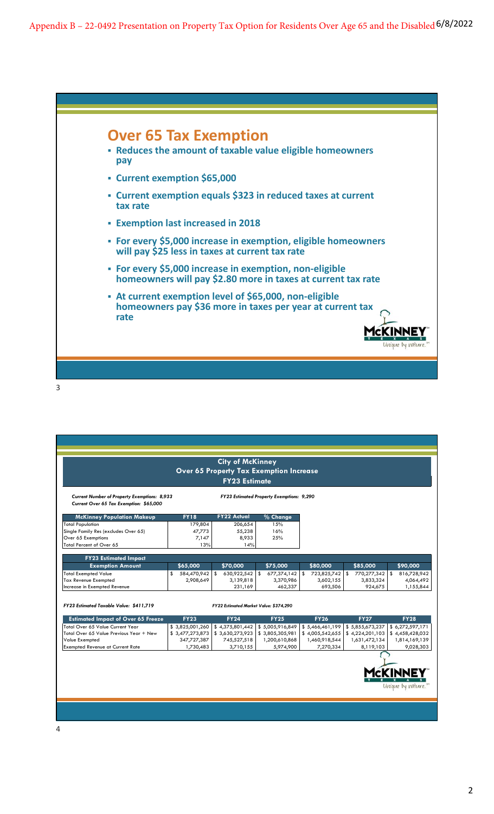Appendix B – 22-0492 Presentation on Property Tax Option for Residents Over Age 65 and the Disabled <sup>6/8/2022</sup>



3

|                                                                                                |                   |    | <b>City of McKinney</b>                        |                 |                   |                      |                   |
|------------------------------------------------------------------------------------------------|-------------------|----|------------------------------------------------|-----------------|-------------------|----------------------|-------------------|
|                                                                                                |                   |    | <b>Over 65 Property Tax Exemption Increase</b> |                 |                   |                      |                   |
|                                                                                                |                   |    | <b>FY23 Estimate</b>                           |                 |                   |                      |                   |
| <b>Current Number of Property Exemptions: 8,933</b><br>Current Over 65 Tax Exemption: \$65,000 |                   |    | FY23 Estimated Property Exemptions: 9,290      |                 |                   |                      |                   |
| <b>McKinney Population Makeup</b>                                                              | <b>FY18</b>       |    | <b>FY22 Actual</b>                             | % Change        |                   |                      |                   |
| <b>Total Population</b>                                                                        | 179,804           |    | 206,654                                        | 15%             |                   |                      |                   |
| Single Family Res (excludes Over 65)                                                           | 47,773            |    | 55,238                                         | 16%             |                   |                      |                   |
| Over 65 Exemptions                                                                             | 7,147             |    | 8,933                                          | 25%             |                   |                      |                   |
| Total Percent of Over 65                                                                       | 13%               |    | 14%                                            |                 |                   |                      |                   |
| <b>FY23 Estimated Impact</b>                                                                   |                   |    |                                                |                 |                   |                      |                   |
| <b>Exemption Amount</b>                                                                        | \$65,000          |    | \$70,000                                       | \$75,000        | \$80,000          | \$85,000             | \$90,000          |
| <b>Total Exempted Value</b>                                                                    | \$<br>584,470,942 | -S | 630,922,542 \$                                 | 677,374,142     | \$<br>723,825,742 | \$<br>770,277,342 \$ | 816,728,942       |
| <b>Tax Revenue Exempted</b>                                                                    | 2,908,649         |    | 3,139,818                                      | 3,370,986       | 3,602,155         | 3,833,324            | 4,064,492         |
| Increase in Exempted Revenue                                                                   |                   |    | 231,169                                        | 462,337         | 693,506           | 924,675              | 1,155,844         |
|                                                                                                |                   |    |                                                |                 |                   |                      |                   |
| FY23 Estimated Taxable Value: \$411.719                                                        |                   |    | FY22 Estimated Market Value: \$374,290         |                 |                   |                      |                   |
| <b>Estimated Impact of Over 65 Freeze</b>                                                      | <b>FY23</b>       |    | <b>FY24</b>                                    | <b>FY25</b>     | <b>FY26</b>       | <b>FY27</b>          | <b>FY28</b>       |
| Total Over 65 Value Current Year                                                               | \$3,825,001,260   |    | \$4,375,801,442                                | \$5,005,916,849 | \$5,466,461,199   | \$5,855,673,237      | \$6,272,597,171   |
| Total Over 65 Value Previous Year + New                                                        | \$3,477,273,873   |    | \$3,630,273,923                                | \$3,805,305,981 | \$4,005,542,655   | \$4,224,201,103      | \$4,458,428,032   |
| Value Exempted                                                                                 | 347,727,387       |    | 745,527,518                                    | 1,200,610,868   | 1,460,918,544     | 1,631,472,134        | 1,814,169,139     |
| <b>Exempted Revenue at Current Rate</b>                                                        | 1,730,483         |    | 3,710,155                                      | 5,974,900       | 7,270,334         | 8,119,103            | 9,028,303         |
|                                                                                                |                   |    |                                                |                 |                   |                      |                   |
|                                                                                                |                   |    |                                                |                 |                   |                      |                   |
|                                                                                                |                   |    |                                                |                 |                   |                      |                   |
|                                                                                                |                   |    |                                                |                 |                   |                      |                   |
|                                                                                                |                   |    |                                                |                 |                   |                      | Unique by nature. |
|                                                                                                |                   |    |                                                |                 |                   |                      |                   |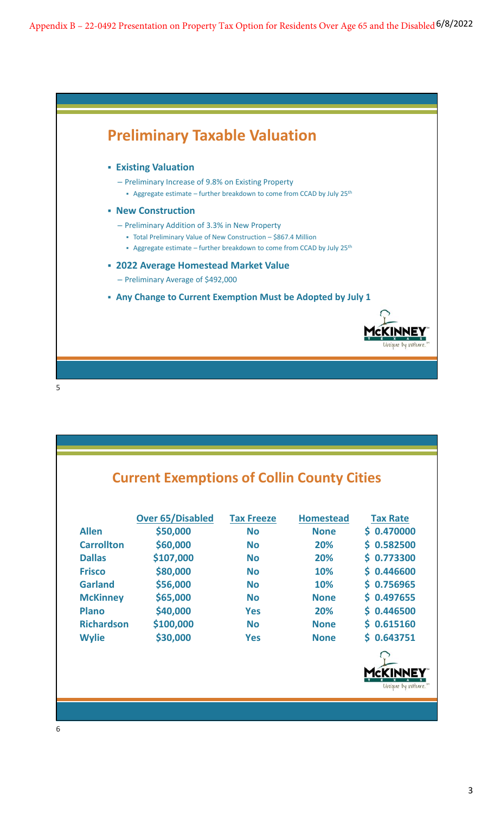Appendix B – 22-0492 Presentation on Property Tax Option for Residents Over Age 65 and the Disabled <sup>6/8/2022</sup>



|                   | <b>Over 65/Disabled</b> | <b>Tax Freeze</b> | <b>Homestead</b> | <b>Tax Rate</b> |
|-------------------|-------------------------|-------------------|------------------|-----------------|
| <b>Allen</b>      | \$50,000                | <b>No</b>         | <b>None</b>      | \$0.470000      |
| <b>Carrollton</b> | \$60,000                | <b>No</b>         | 20%              | 0.582500<br>S.  |
| <b>Dallas</b>     | \$107,000               | <b>No</b>         | 20%              | 0.773300<br>Ś.  |
| <b>Frisco</b>     | \$80,000                | <b>No</b>         | 10%              | \$0.446600      |
| <b>Garland</b>    | \$56,000                | <b>No</b>         | 10%              | \$0.756965      |
| <b>McKinney</b>   | \$65,000                | <b>No</b>         | <b>None</b>      | 0.497655<br>S.  |
| <b>Plano</b>      | \$40,000                | <b>Yes</b>        | 20%              | 0.446500<br>Ś.  |
| <b>Richardson</b> | \$100,000               | <b>No</b>         | <b>None</b>      | \$0.615160      |
| <b>Wylie</b>      | \$30,000                | <b>Yes</b>        | <b>None</b>      | \$0.643751      |
|                   |                         |                   |                  |                 |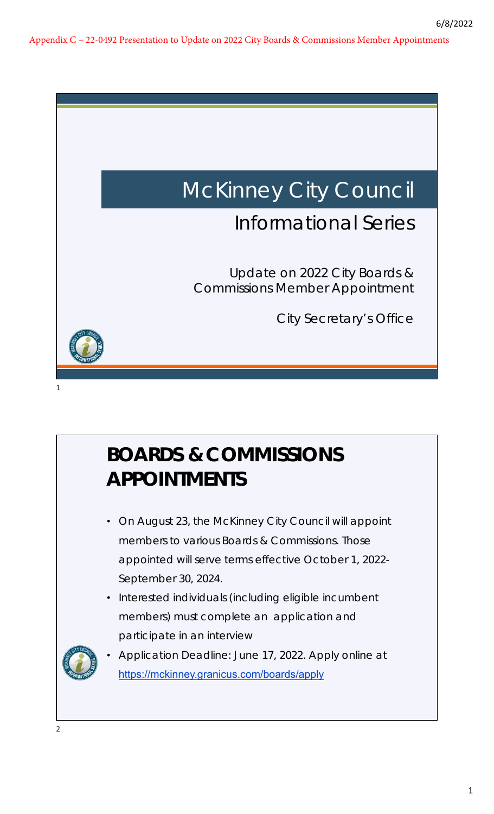

# **BOARDS & COMMISSIONS APPOINTMENTS**

- On August 23, the McKinney City Council will appoint members to various Boards & Commissions. Those appointed will serve terms effective October 1, 2022- September 30, 2024.
- Interested individuals (including eligible incumbent members) must complete an application and participate in an interview



• Application Deadline: June 17, 2022. Apply online at https://mckinney.granicus.com/boards/apply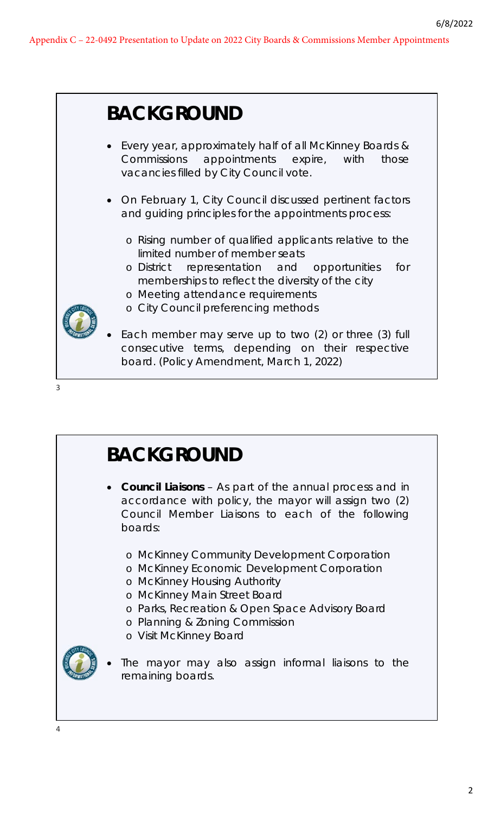

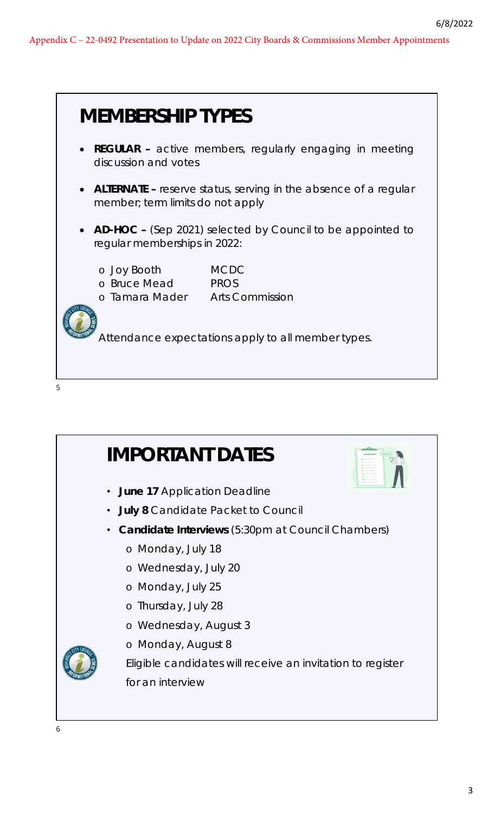

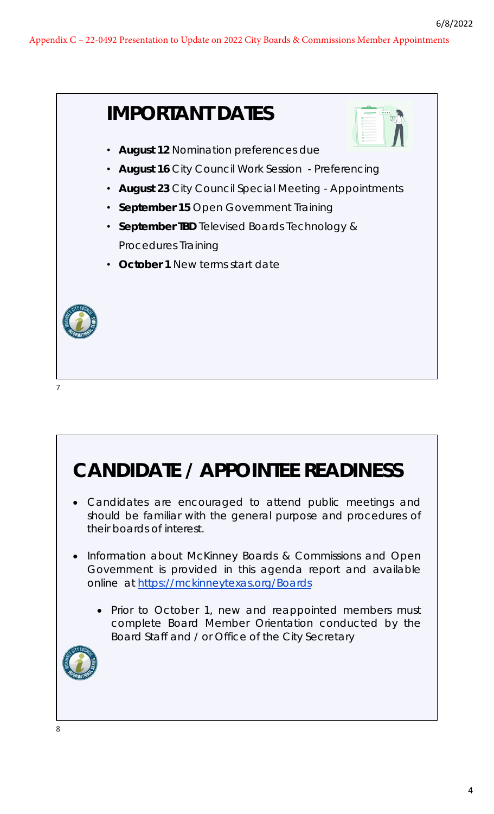

## **CANDIDATE / APPOINTEE READINESS**

- Candidates are encouraged to attend public meetings and should be familiar with the general purpose and procedures of their boards of interest.
- Information about McKinney Boards & Commissions and Open Government is provided in this agenda report and available online at https://mckinneytexas.org/Boards
	- Prior to October 1, new and reappointed members must complete Board Member Orientation conducted by the Board Staff and / or Office of the City Secretary